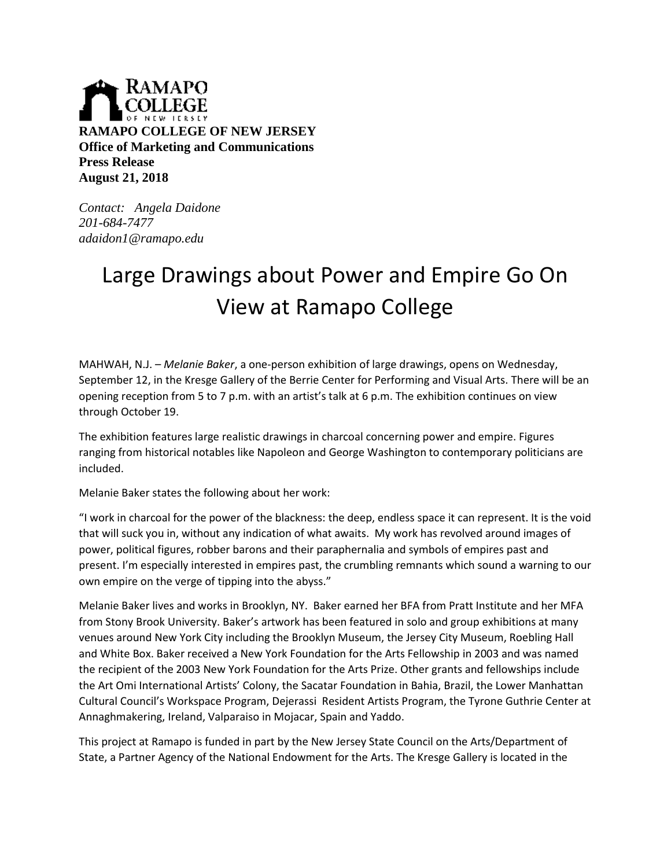

*Contact: Angela Daidone 201-684-7477 adaidon1@ramapo.edu*

## Large Drawings about Power and Empire Go On View at Ramapo College

MAHWAH, N.J. – *Melanie Baker*, a one-person exhibition of large drawings, opens on Wednesday, September 12, in the Kresge Gallery of the Berrie Center for Performing and Visual Arts. There will be an opening reception from 5 to 7 p.m. with an artist's talk at 6 p.m. The exhibition continues on view through October 19.

The exhibition features large realistic drawings in charcoal concerning power and empire. Figures ranging from historical notables like Napoleon and George Washington to contemporary politicians are included.

Melanie Baker states the following about her work:

"I work in charcoal for the power of the blackness: the deep, endless space it can represent. It is the void that will suck you in, without any indication of what awaits. My work has revolved around images of power, political figures, robber barons and their paraphernalia and symbols of empires past and present. I'm especially interested in empires past, the crumbling remnants which sound a warning to our own empire on the verge of tipping into the abyss."

Melanie Baker lives and works in Brooklyn, NY. Baker earned her BFA from Pratt Institute and her MFA from Stony Brook University. Baker's artwork has been featured in solo and group exhibitions at many venues around New York City including the Brooklyn Museum, the Jersey City Museum, Roebling Hall and White Box. Baker received a New York Foundation for the Arts Fellowship in 2003 and was named the recipient of the 2003 New York Foundation for the Arts Prize. Other grants and fellowships include the Art Omi International Artists' Colony, the Sacatar Foundation in Bahia, Brazil, the Lower Manhattan Cultural Council's Workspace Program, Dejerassi Resident Artists Program, the Tyrone Guthrie Center at Annaghmakering, Ireland, Valparaiso in Mojacar, Spain and Yaddo.

This project at Ramapo is funded in part by the New Jersey State Council on the Arts/Department of State, a Partner Agency of the National Endowment for the Arts. The Kresge Gallery is located in the